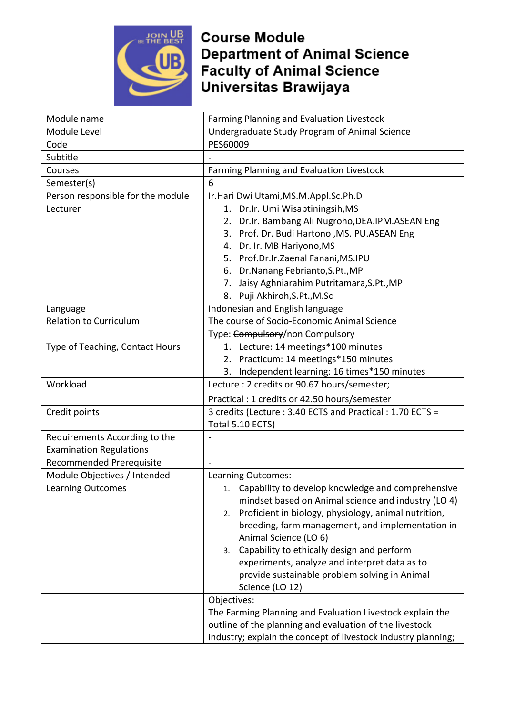

**Course Module Department of Animal Science Faculty of Animal Science** Universitas Brawijaya

| Module name                       | Farming Planning and Evaluation Livestock                     |
|-----------------------------------|---------------------------------------------------------------|
| Module Level                      | Undergraduate Study Program of Animal Science                 |
| Code                              | PES60009                                                      |
| Subtitle                          |                                                               |
| Courses                           | Farming Planning and Evaluation Livestock                     |
| Semester(s)                       | 6                                                             |
| Person responsible for the module | Ir.Hari Dwi Utami, MS.M.Appl.Sc.Ph.D                          |
| Lecturer                          | 1. Dr.Ir. Umi Wisaptiningsih, MS                              |
|                                   | Dr.Ir. Bambang Ali Nugroho, DEA.IPM. ASEAN Eng<br>2.          |
|                                   | 3. Prof. Dr. Budi Hartono, MS.IPU.ASEAN Eng                   |
|                                   | 4. Dr. Ir. MB Hariyono, MS                                    |
|                                   | 5. Prof.Dr.Ir.Zaenal Fanani, MS.IPU                           |
|                                   | 6. Dr. Nanang Febrianto, S.Pt., MP                            |
|                                   | Jaisy Aghniarahim Putritamara, S.Pt., MP<br>7.                |
|                                   | 8. Puji Akhiroh, S.Pt., M.Sc                                  |
| Language                          | Indonesian and English language                               |
| <b>Relation to Curriculum</b>     | The course of Socio-Economic Animal Science                   |
|                                   | Type: Compulsory/non Compulsory                               |
| Type of Teaching, Contact Hours   | 1. Lecture: 14 meetings*100 minutes                           |
|                                   | 2. Practicum: 14 meetings*150 minutes                         |
|                                   | 3. Independent learning: 16 times*150 minutes                 |
| Workload                          | Lecture : 2 credits or 90.67 hours/semester;                  |
|                                   | Practical: 1 credits or 42.50 hours/semester                  |
| Credit points                     | 3 credits (Lecture : 3.40 ECTS and Practical : 1.70 ECTS =    |
|                                   | Total 5.10 ECTS)                                              |
| Requirements According to the     |                                                               |
| <b>Examination Regulations</b>    |                                                               |
| Recommended Prerequisite          |                                                               |
| Module Objectives / Intended      | Learning Outcomes:                                            |
| Learning Outcomes                 | 1. Capability to develop knowledge and comprehensive          |
|                                   | mindset based on Animal science and industry (LO 4)           |
|                                   | Proficient in biology, physiology, animal nutrition,<br>2.    |
|                                   | breeding, farm management, and implementation in              |
|                                   | Animal Science (LO 6)                                         |
|                                   | Capability to ethically design and perform<br>3.              |
|                                   | experiments, analyze and interpret data as to                 |
|                                   | provide sustainable problem solving in Animal                 |
|                                   | Science (LO 12)                                               |
|                                   | Objectives:                                                   |
|                                   | The Farming Planning and Evaluation Livestock explain the     |
|                                   | outline of the planning and evaluation of the livestock       |
|                                   | industry; explain the concept of livestock industry planning; |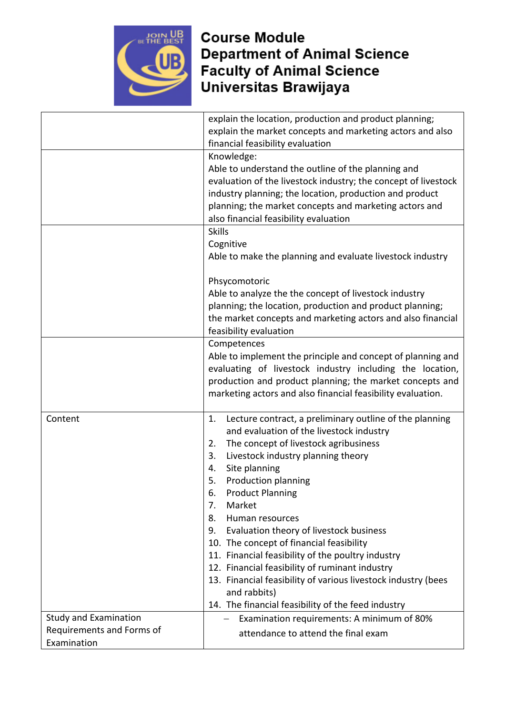

**Course Module Department of Animal Science Faculty of Animal Science** Universitas Brawijaya

|                                                                          | explain the location, production and product planning;<br>explain the market concepts and marketing actors and also<br>financial feasibility evaluation                                                                                                                                                                                                                                                                                                                                                                                                                                                                                                                       |
|--------------------------------------------------------------------------|-------------------------------------------------------------------------------------------------------------------------------------------------------------------------------------------------------------------------------------------------------------------------------------------------------------------------------------------------------------------------------------------------------------------------------------------------------------------------------------------------------------------------------------------------------------------------------------------------------------------------------------------------------------------------------|
|                                                                          | Knowledge:<br>Able to understand the outline of the planning and<br>evaluation of the livestock industry; the concept of livestock<br>industry planning; the location, production and product<br>planning; the market concepts and marketing actors and<br>also financial feasibility evaluation                                                                                                                                                                                                                                                                                                                                                                              |
|                                                                          | <b>Skills</b><br>Cognitive<br>Able to make the planning and evaluate livestock industry                                                                                                                                                                                                                                                                                                                                                                                                                                                                                                                                                                                       |
|                                                                          | Phsycomotoric<br>Able to analyze the the concept of livestock industry<br>planning; the location, production and product planning;<br>the market concepts and marketing actors and also financial<br>feasibility evaluation                                                                                                                                                                                                                                                                                                                                                                                                                                                   |
|                                                                          | Competences<br>Able to implement the principle and concept of planning and<br>evaluating of livestock industry including the location,<br>production and product planning; the market concepts and<br>marketing actors and also financial feasibility evaluation.                                                                                                                                                                                                                                                                                                                                                                                                             |
| Content                                                                  | Lecture contract, a preliminary outline of the planning<br>1.<br>and evaluation of the livestock industry<br>The concept of livestock agribusiness<br>2.<br>Livestock industry planning theory<br>3.<br>Site planning<br>4.<br>5.<br>Production planning<br><b>Product Planning</b><br>ь.<br>Market<br>7.<br>8.<br>Human resources<br>Evaluation theory of livestock business<br>9.<br>10. The concept of financial feasibility<br>11. Financial feasibility of the poultry industry<br>12. Financial feasibility of ruminant industry<br>13. Financial feasibility of various livestock industry (bees<br>and rabbits)<br>14. The financial feasibility of the feed industry |
| <b>Study and Examination</b><br>Requirements and Forms of<br>Examination | Examination requirements: A minimum of 80%<br>attendance to attend the final exam                                                                                                                                                                                                                                                                                                                                                                                                                                                                                                                                                                                             |